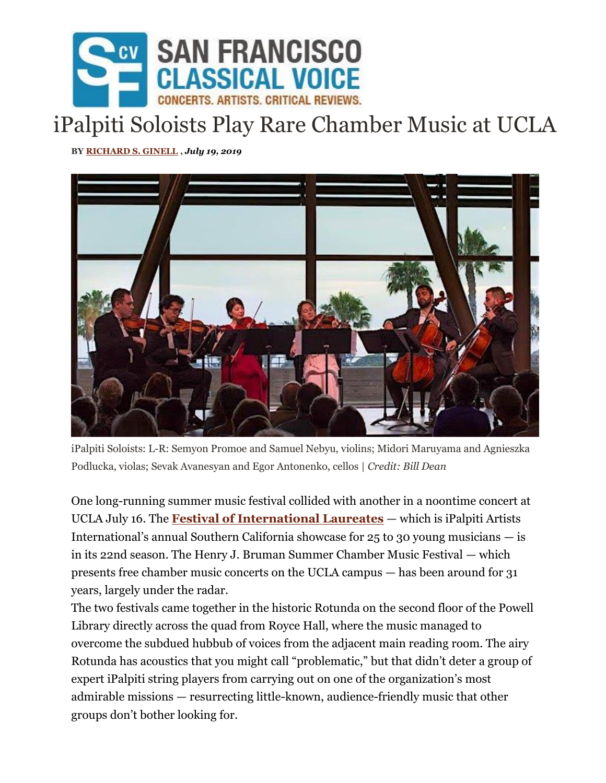

## iPalpiti Soloists Play Rare Chamber Music at UCLA

**BY [RICHARD S. GINELL](https://www.sfcv.org/author/richard-s-ginell) ,** *July 19, 2019*



iPalpiti Soloists: L-R: Semyon Promoe and Samuel Nebyu, violins; Midori Maruyama and Agnieszka Podlucka, violas; Sevak Avanesyan and Egor Antonenko, cellos | *Credit: Bill Dean*

One long-running summer music festival collided with another in a noontime concert at UCLA July 16. The **[Festival of International Laureates](https://www.ipalpiti.org/ipalpiti-festival-2019/)** — which is iPalpiti Artists International's annual Southern California showcase for  $25$  to 30 young musicians  $-$  is in its 22nd season. The Henry J. Bruman Summer Chamber Music Festival — which presents free chamber music concerts on the UCLA campus — has been around for 31 years, largely under the radar.

The two festivals came together in the historic Rotunda on the second floor of the Powell Library directly across the quad from Royce Hall, where the music managed to overcome the subdued hubbub of voices from the adjacent main reading room. The airy Rotunda has acoustics that you might call "problematic," but that didn't deter a group of expert iPalpiti string players from carrying out on one of the organization's most admirable missions — resurrecting little-known, audience-friendly music that other groups don't bother looking for.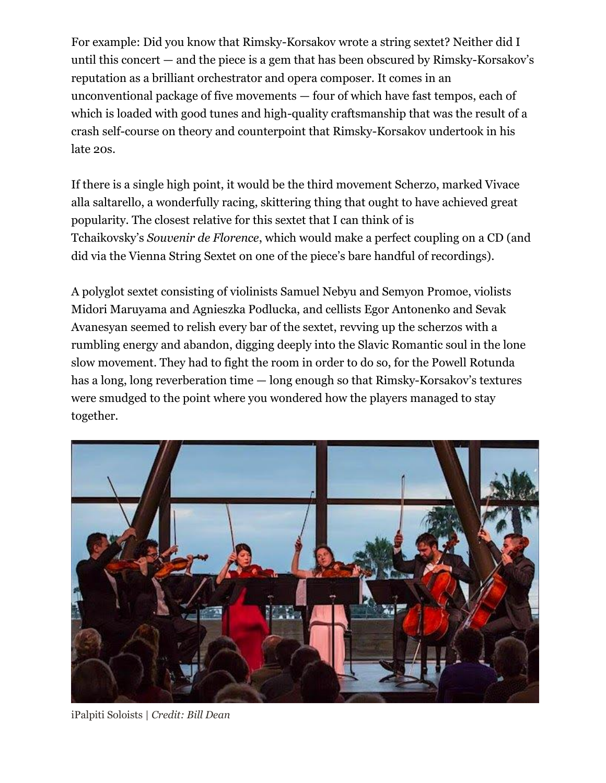For example: Did you know that Rimsky-Korsakov wrote a string sextet? Neither did I until this concert — and the piece is a gem that has been obscured by Rimsky-Korsakov's reputation as a brilliant orchestrator and opera composer. It comes in an unconventional package of five movements — four of which have fast tempos, each of which is loaded with good tunes and high-quality craftsmanship that was the result of a crash self-course on theory and counterpoint that Rimsky-Korsakov undertook in his late 20s.

If there is a single high point, it would be the third movement Scherzo, marked Vivace alla saltarello, a wonderfully racing, skittering thing that ought to have achieved great popularity. The closest relative for this sextet that I can think of is Tchaikovsky's *Souvenir de Florence*, which would make a perfect coupling on a CD (and did via the Vienna String Sextet on one of the piece's bare handful of recordings).

A polyglot sextet consisting of violinists Samuel Nebyu and Semyon Promoe, violists Midori Maruyama and Agnieszka Podlucka, and cellists Egor Antonenko and Sevak Avanesyan seemed to relish every bar of the sextet, revving up the scherzos with a rumbling energy and abandon, digging deeply into the Slavic Romantic soul in the lone slow movement. They had to fight the room in order to do so, for the Powell Rotunda has a long, long reverberation time — long enough so that Rimsky-Korsakov's textures were smudged to the point where you wondered how the players managed to stay together.



iPalpiti Soloists | *Credit: Bill Dean*